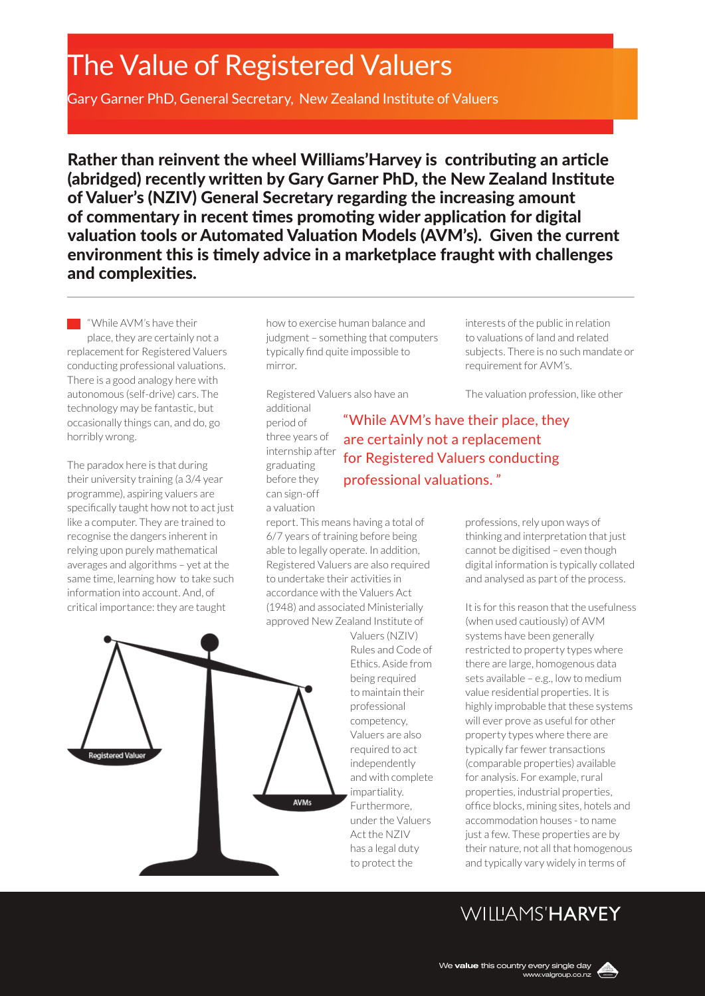# The Value of Registered Valuers

Gary Garner PhD, General Secretary, New Zealand Institute of Valuers

Rather than reinvent the wheel Williams'Harvey is contributing an article (abridged) recently written by Gary Garner PhD, the New Zealand Institute of Valuer's (NZIV) General Secretary regarding the increasing amount of commentary in recent times promoting wider application for digital valuation tools or Automated Valuation Models (AVM's). Given the current environment this is timely advice in a marketplace fraught with challenges and complexities.

**While AVM's have their** place, they are certainly not a replacement for Registered Valuers conducting professional valuations. There is a good analogy here with autonomous (self-drive) cars. The technology may be fantastic, but occasionally things can, and do, go horribly wrong.

The paradox here is that during their university training (a 3/4 year programme), aspiring valuers are specifically taught how not to act just like a computer. They are trained to recognise the dangers inherent in relying upon purely mathematical averages and algorithms – yet at the same time, learning how to take such information into account. And, of critical importance: they are taught

how to exercise human balance and judgment – something that computers typically find quite impossible to mirror.

Registered Valuers also have an additional

period of three years of internship after graduating before they can sign-off a valuation

### "While AVM's have their place, they are certainly not a replacement for Registered Valuers conducting professional valuations. "

report. This means having a total of 6/7 years of training before being able to legally operate. In addition, Registered Valuers are also required to undertake their activities in accordance with the Valuers Act (1948) and associated Ministerially approved New Zealand Institute of

> Valuers (NZIV) Rules and Code of Ethics. Aside from being required to maintain their professional competency, Valuers are also required to act independently and with complete impartiality. Furthermore, under the Valuers Act the NZIV has a legal duty to protect the

interests of the public in relation to valuations of land and related subjects. There is no such mandate or requirement for AVM's.

The valuation profession, like other

professions, rely upon ways of thinking and interpretation that just cannot be digitised – even though digital information is typically collated and analysed as part of the process.

It is for this reason that the usefulness (when used cautiously) of AVM systems have been generally restricted to property types where there are large, homogenous data sets available – e.g., low to medium value residential properties. It is highly improbable that these systems will ever prove as useful for other property types where there are typically far fewer transactions (comparable properties) available for analysis. For example, rural properties, industrial properties, office blocks, mining sites, hotels and accommodation houses - to name just a few. These properties are by their nature, not all that homogenous and typically vary widely in terms of

## WIIIIAMS'HARVEY